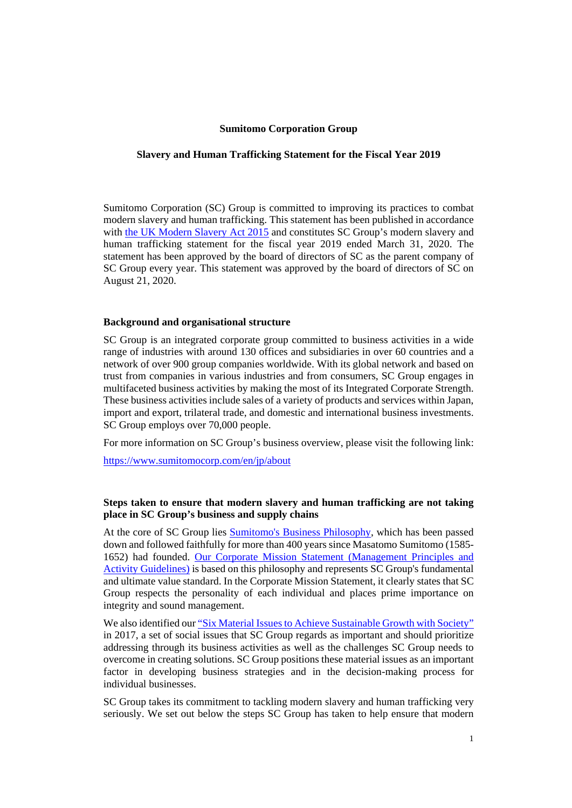### **Sumitomo Corporation Group**

#### **Slavery and Human Trafficking Statement for the Fiscal Year 2019**

Sumitomo Corporation (SC) Group is committed to improving its practices to combat modern slavery and human trafficking. This statement has been published in accordance with [the UK Modern Slavery Act 2015](https://www.legislation.gov.uk/ukpga/2015/30/section/54) and constitutes SC Group's modern slavery and human trafficking statement for the fiscal year 2019 ended March 31, 2020. The statement has been approved by the board of directors of SC as the parent company of SC Group every year. This statement was approved by the board of directors of SC on August 21, 2020.

#### **Background and organisational structure**

SC Group is an integrated corporate group committed to business activities in a wide range of industries with around 130 offices and subsidiaries in over 60 countries and a network of over 900 group companies worldwide. With its global network and based on trust from companies in various industries and from consumers, SC Group engages in multifaceted business activities by making the most of its Integrated Corporate Strength. These business activities include sales of a variety of products and services within Japan, import and export, trilateral trade, and domestic and international business investments. SC Group employs over 70,000 people.

For more information on SC Group's business overview, please visit the following link:

https://www.sumitomocorp.com/en/jp/about

## **Steps taken to ensure that modern slavery and human trafficking are not taking place in SC Group's business and supply chains**

At the core of SC Group lies [Sumitomo's Business Philosophy](https://www.sumitomocorp.com/en/jp/about/policy/principles#03), which has been passed down and followed faithfully for more than 400 years since Masatomo Sumitomo (1585- 1652) had founded. Our Corporate Mission Statement (Management Principles and [Activity Guidelines\) is based on this philosophy and represents SC Group's fundamental](https://www.sumitomocorp.com/en/jp/about/policy/principles) and ultimate value standard. In the Corporate Mission Statement, it clearly states that SC Group respects the personality of each individual and places prime importance on integrity and sound management.

We also identified our "[Six Material Issues to Achieve Sustainable Growth with Society](https://www.sumitomocorp.com/en/jp/sustainability/material-issues)" in 2017, a set of social issues that SC Group regards as important and should prioritize addressing through its business activities as well as the challenges SC Group needs to overcome in creating solutions. SC Group positions these material issues as an important factor in developing business strategies and in the decision-making process for individual businesses.

SC Group takes its commitment to tackling modern slavery and human trafficking very seriously. We set out below the steps SC Group has taken to help ensure that modern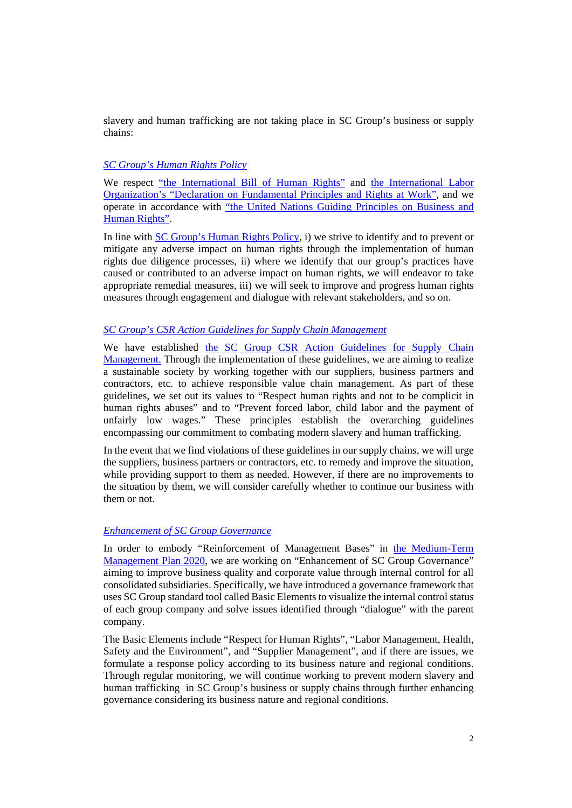slavery and human trafficking are not taking place in SC Group's business or supply chains:

# *[SC Group's Human Rights Policy](https://www.sumitomocorp.com/en/jp/sustainability/csr#02)*

We respect ["the International Bill of Human Rights](https://www.ohchr.org/documents/publications/factsheet2rev.1en.pdf)" and [the International Labor](http://www.ilo.org/declaration/lang--en/index.htm) [Organization's "Declaration on Fundamental Principles and Rights at Work",](http://www.ilo.org/declaration/lang--en/index.htm) and we [operate in accordance with "the United Nations Guiding Principles on Business and](https://www.ohchr.org/Documents/Publications/GuidingPrinciplesBusinessHR_EN.pdf) Human Rights".

In line with [SC Group's Human Rights Policy,](https://www.sumitomocorp.com/en/jp/sustainability/csr#02) i) we strive to identify and to prevent or mitigate any adverse impact on human rights through the implementation of human rights due diligence processes, ii) where we identify that our group's practices have caused or contributed to an adverse impact on human rights, we will endeavor to take appropriate remedial measures, iii) we will seek to improve and progress human rights measures through engagement and dialogue with relevant stakeholders, and so on.

## *[SC Group's CSR Action Guidelines for Supply Chain Management](https://www.sumitomocorp.com/en/jp/sustainability/csr#01)*

[We have established the SC Group CSR Action Guidelines for Supply Chain](https://www.sumitomocorp.com/en/jp/sustainability/csr#01) Management. Through the implementation of these guidelines, we are aiming to realize a sustainable society by working together with our suppliers, business partners and contractors, etc. to achieve responsible value chain management. As part of these guidelines, we set out its values to "Respect human rights and not to be complicit in human rights abuses" and to "Prevent forced labor, child labor and the payment of unfairly low wages." These principles establish the overarching guidelines encompassing our commitment to combating modern slavery and human trafficking.

In the event that we find violations of these guidelines in our supply chains, we will urge the suppliers, business partners or contractors, etc. to remedy and improve the situation, while providing support to them as needed. However, if there are no improvements to the situation by them, we will consider carefully whether to continue our business with them or not.

### *[Enhancement of SC Group Governance](https://www.sumitomocorp.com/en/jp/about/governance/scic)*

In order to embody "Reinforcement of Management Bases" in the Medium-Term [Management Plan 2020, we are working on "Enhancement of SC Group Governance"](https://www.sumitomocorp.com/en/jp/about/policy/mid-term) aiming to improve business quality and corporate value through internal control for all consolidated subsidiaries. Specifically, we have introduced a governance framework that uses SC Group standard tool called Basic Elements to visualize the internal control status of each group company and solve issues identified through "dialogue" with the parent company.

The Basic Elements include "Respect for Human Rights", "Labor Management, Health, Safety and the Environment", and "Supplier Management", and if there are issues, we formulate a response policy according to its business nature and regional conditions. Through regular monitoring, we will continue working to prevent modern slavery and human trafficking in SC Group's business or supply chains through further enhancing governance considering its business nature and regional conditions.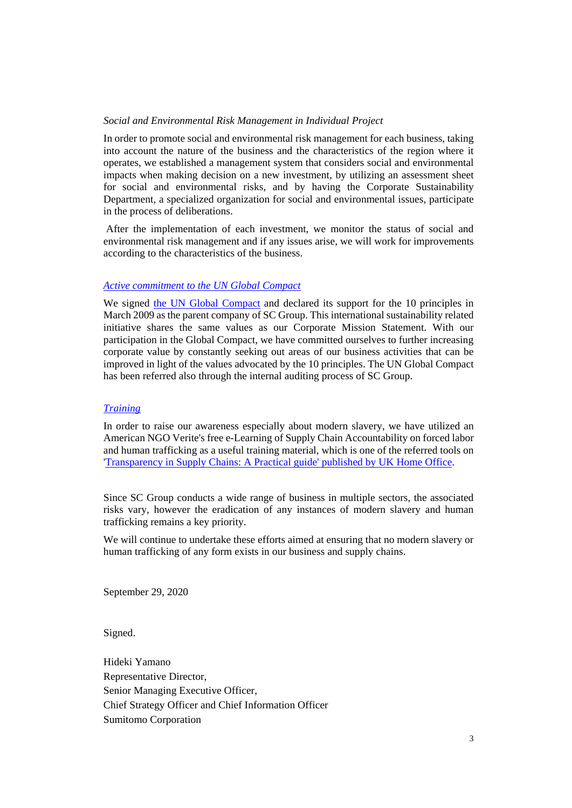## *Social and Environmental Risk Management in Individual Project*

In order to promote social and environmental risk management for each business, taking into account the nature of the business and the characteristics of the region where it operates, we established a management system that considers social and environmental impacts when making decision on a new investment, by utilizing an assessment sheet for social and environmental risks, and by having the Corporate Sustainability Department, a specialized organization for social and environmental issues, participate in the process of deliberations.

 After the implementation of each investment, we monitor the status of social and environmental risk management and if any issues arise, we will work for improvements according to the characteristics of the business.

## *[Active commitment to the UN Global Compact](https://www.sumitomocorp.com/en/jp/sustainability/initiative)*

We signed [the UN Global Compact](https://www.unglobalcompact.org/what-is-gc/mission/principles) and declared its support for the 10 principles in March 2009 as the parent company of SC Group. This international sustainability related initiative shares the same values as our Corporate Mission Statement. With our participation in the Global Compact, we have committed ourselves to further increasing corporate value by constantly seeking out areas of our business activities that can be improved in light of the values advocated by the 10 principles. The UN Global Compact has been referred also through the internal auditing process of SC Group.

### *[Training](https://www.sumitomocorp.com/en/jp/sustainability/csr#08)*

In order to raise our awareness especially about modern slavery, we have utilized an American NGO Verite's free e-Learning of Supply Chain Accountability on forced labor and human trafficking as a useful training material, which is one of the referred tools on ['Transparency in Supply Chains: A Practical guide' published by UK Home Office.](https://www.gov.uk/government/publications/transparency-in-supply-chains-a-practical-guide)

Since SC Group conducts a wide range of business in multiple sectors, the associated risks vary, however the eradication of any instances of modern slavery and human trafficking remains a key priority.

We will continue to undertake these efforts aimed at ensuring that no modern slavery or human trafficking of any form exists in our business and supply chains.

September 29, 2020

Signed.

Hideki Yamano Representative Director, Senior Managing Executive Officer, Chief Strategy Officer and Chief Information Officer Sumitomo Corporation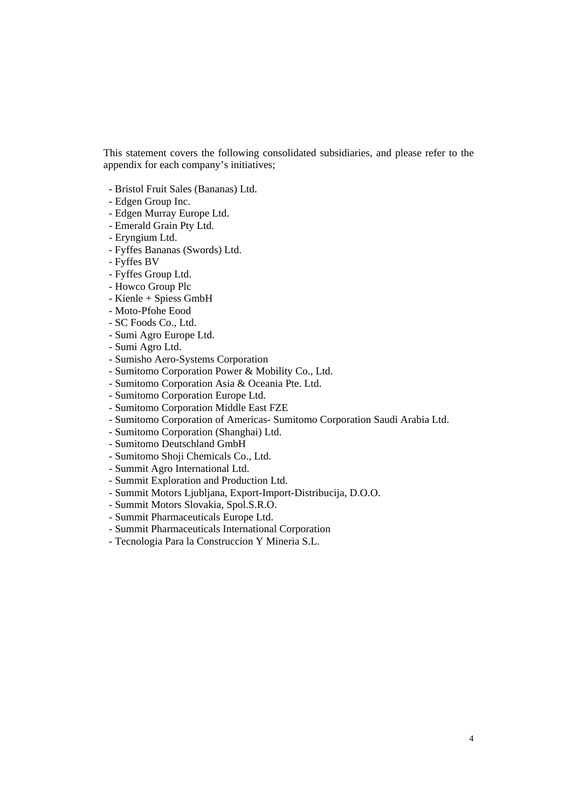This statement covers the following consolidated subsidiaries, and please refer to the appendix for each company's initiatives;

- Bristol Fruit Sales (Bananas) Ltd.
- Edgen Group Inc.
- Edgen Murray Europe Ltd.
- Emerald Grain Pty Ltd.
- Eryngium Ltd.
- Fyffes Bananas (Swords) Ltd.
- Fyffes BV
- Fyffes Group Ltd.
- Howco Group Plc
- Kienle + Spiess GmbH
- Moto-Pfohe Eood
- SC Foods Co., Ltd.
- Sumi Agro Europe Ltd.
- Sumi Agro Ltd.
- Sumisho Aero-Systems Corporation
- Sumitomo Corporation Power & Mobility Co., Ltd.
- Sumitomo Corporation Asia & Oceania Pte. Ltd.
- Sumitomo Corporation Europe Ltd.
- Sumitomo Corporation Middle East FZE
- Sumitomo Corporation of Americas- Sumitomo Corporation Saudi Arabia Ltd.
- Sumitomo Corporation (Shanghai) Ltd.
- Sumitomo Deutschland GmbH
- Sumitomo Shoji Chemicals Co., Ltd.
- Summit Agro International Ltd.
- Summit Exploration and Production Ltd.
- Summit Motors Ljubljana, Export-Import-Distribucija, D.O.O.
- Summit Motors Slovakia, Spol.S.R.O.
- Summit Pharmaceuticals Europe Ltd.
- Summit Pharmaceuticals International Corporation
- Tecnologia Para la Construccion Y Mineria S.L.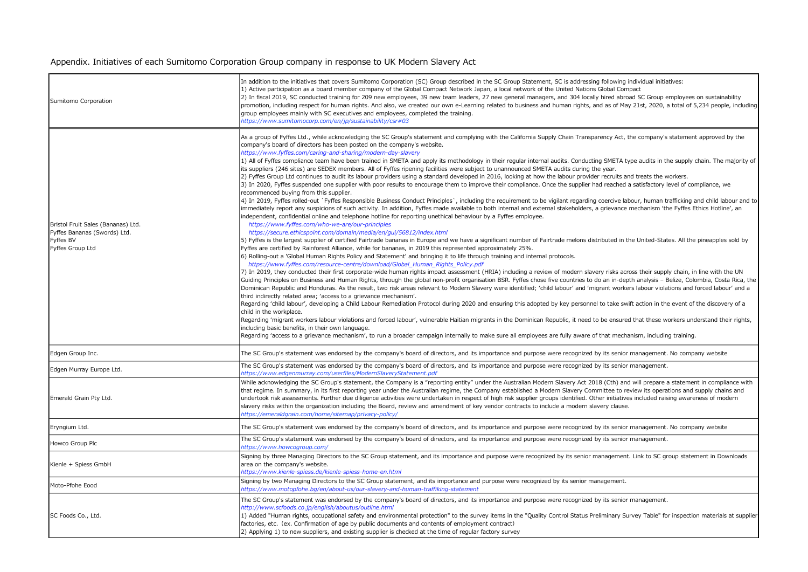# Appendix. Initiatives of each Sumitomo Corporation Group company in response to UK Modern Slavery Act

| Sumitomo Corporation                                                                                | In addition to the initiatives that covers Sumitomo Corporation (SC) Group described in the SC Group Statement, SC is addressing following individual initiatives:<br>1) Active participation as a board member company of the Global Compact Network Japan, a local network of the United Nations Global Compact<br>[2] In fiscal 2019, SC conducted training for 209 new employees, 39 new team leaders, 27 new general managers, and 304 locally hired abroad SC Group employees on sustainability<br>promotion, including respect for human rights. And also, we created our own e-Learning related to business and human rights, and as of May 21st, 2020, a total of 5,234 people, including<br>group employees mainly with SC executives and employees, completed the training.<br>https://www.sumitomocorp.com/en/jp/sustainability/csr#03                                                                                                                                                                                                                                                                                                                                                                                                                                                                                                                                                                                                                                                                                                                                                                                                                                                                                                                                                                                                                                                                                                                                                                                                                                                                                                                                                                                                                                                                                                                                                                                                                                                                                                                                                                                                                                                                                                                                                                                                                                                                                                                                                                                                                                                                                                                                                                                                                                                                                                                                                                                                                                                                                                           |
|-----------------------------------------------------------------------------------------------------|--------------------------------------------------------------------------------------------------------------------------------------------------------------------------------------------------------------------------------------------------------------------------------------------------------------------------------------------------------------------------------------------------------------------------------------------------------------------------------------------------------------------------------------------------------------------------------------------------------------------------------------------------------------------------------------------------------------------------------------------------------------------------------------------------------------------------------------------------------------------------------------------------------------------------------------------------------------------------------------------------------------------------------------------------------------------------------------------------------------------------------------------------------------------------------------------------------------------------------------------------------------------------------------------------------------------------------------------------------------------------------------------------------------------------------------------------------------------------------------------------------------------------------------------------------------------------------------------------------------------------------------------------------------------------------------------------------------------------------------------------------------------------------------------------------------------------------------------------------------------------------------------------------------------------------------------------------------------------------------------------------------------------------------------------------------------------------------------------------------------------------------------------------------------------------------------------------------------------------------------------------------------------------------------------------------------------------------------------------------------------------------------------------------------------------------------------------------------------------------------------------------------------------------------------------------------------------------------------------------------------------------------------------------------------------------------------------------------------------------------------------------------------------------------------------------------------------------------------------------------------------------------------------------------------------------------------------------------------------------------------------------------------------------------------------------------------------------------------------------------------------------------------------------------------------------------------------------------------------------------------------------------------------------------------------------------------------------------------------------------------------------------------------------------------------------------------------------------------------------------------------------------------------------------------------------|
| Bristol Fruit Sales (Bananas) Ltd.<br>Fyffes Bananas (Swords) Ltd.<br>Fyffes BV<br>Fyffes Group Ltd | As a group of Fyffes Ltd., while acknowledging the SC Group's statement and complying with the California Supply Chain Transparency Act, the company's statement approved by the<br>company's board of directors has been posted on the company's website.<br>https://www.fyffes.com/caring-and-sharing/modern-day-slavery<br>1) All of Fyffes compliance team have been trained in SMETA and apply its methodology in their regular internal audits. Conducting SMETA type audits in the supply chain. The majority of<br>its suppliers (246 sites) are SEDEX members. All of Fyffes ripening facilities were subject to unannounced SMETA audits during the year.<br>[2] Fyffes Group Ltd continues to audit its labour providers using a standard developed in 2016, looking at how the labour provider recruits and treats the workers.<br>3) In 2020, Fyffes suspended one supplier with poor results to encourage them to improve their compliance. Once the supplier had reached a satisfactory level of compliance, we<br>recommenced buying from this supplier.<br>4) In 2019, Fyffes rolled-out `Fyffes Responsible Business Conduct Principles`, including the requirement to be vigilant regarding coercive labour, human trafficking and child labour and to<br>immediately report any suspicions of such activity. In addition, Fyffes made available to both internal and external stakeholders, a grievance mechanism 'the Fyffes Ethics Hotline', an<br>independent, confidential online and telephone hotline for reporting unethical behaviour by a Fyffes employee.<br>https://www.fyffes.com/who-we-are/our-principles<br>https://secure.ethicspoint.com/domain/media/en/gui/56812/index.html<br>[5] Fyffes is the largest supplier of certified Fairtrade bananas in Europe and we have a significant number of Fairtrade melons distributed in the United-States. All the pineapples sold by<br>Fyffes are certified by Rainforest Alliance, while for bananas, in 2019 this represented approximately 25%.<br>6) Rolling-out a 'Global Human Rights Policy and Statement' and bringing it to life through training and internal protocols.<br>https://www.fyffes.com/resource-centre/download/Global_Human_Rights_Policy.pdf<br>7) In 2019, they conducted their first corporate-wide human rights impact assessment (HRIA) including a review of modern slavery risks across their supply chain, in line with the UN<br>Guiding Principles on Business and Human Rights, through the global non-profit organisation BSR. Fyffes chose five countries to do an in-depth analysis - Belize, Colombia, Costa Rica, the<br>Dominican Republic and Honduras. As the result, two risk areas relevant to Modern Slavery were identified; 'child labour' and 'migrant workers labour violations and forced labour' and a<br>third indirectly related area; 'access to a grievance mechanism'.<br>Regarding 'child labour', developing a Child Labour Remediation Protocol during 2020 and ensuring this adopted by key personnel to take swift action in the event of the discovery of a<br>child in the workplace.<br>Regarding 'migrant workers labour violations and forced labour', vulnerable Haitian migrants in the Dominican Republic, it need to be ensured that these workers understand their rights,<br>including basic benefits, in their own language.<br>Regarding 'access to a grievance mechanism', to run a broader campaign internally to make sure all employees are fully aware of that mechanism, including training. |
| Edgen Group Inc.                                                                                    | The SC Group's statement was endorsed by the company's board of directors, and its importance and purpose were recognized by its senior management. No company website                                                                                                                                                                                                                                                                                                                                                                                                                                                                                                                                                                                                                                                                                                                                                                                                                                                                                                                                                                                                                                                                                                                                                                                                                                                                                                                                                                                                                                                                                                                                                                                                                                                                                                                                                                                                                                                                                                                                                                                                                                                                                                                                                                                                                                                                                                                                                                                                                                                                                                                                                                                                                                                                                                                                                                                                                                                                                                                                                                                                                                                                                                                                                                                                                                                                                                                                                                                       |
| Edgen Murray Europe Ltd.                                                                            | The SC Group's statement was endorsed by the company's board of directors, and its importance and purpose were recognized by its senior management.<br>https://www.edgenmurray.com/userfiles/ModernSlaveryStatement.pdf                                                                                                                                                                                                                                                                                                                                                                                                                                                                                                                                                                                                                                                                                                                                                                                                                                                                                                                                                                                                                                                                                                                                                                                                                                                                                                                                                                                                                                                                                                                                                                                                                                                                                                                                                                                                                                                                                                                                                                                                                                                                                                                                                                                                                                                                                                                                                                                                                                                                                                                                                                                                                                                                                                                                                                                                                                                                                                                                                                                                                                                                                                                                                                                                                                                                                                                                      |
| Emerald Grain Pty Ltd.                                                                              | While acknowledging the SC Group's statement, the Company is a "reporting entity" under the Australian Modern Slavery Act 2018 (Cth) and will prepare a statement in compliance with<br>that regime. In summary, in its first reporting year under the Australian regime, the Company established a Modern Slavery Committee to review its operations and supply chains and<br>undertook risk assessments. Further due diligence activities were undertaken in respect of high risk supplier groups identified. Other initiatives included raising awareness of modern<br>slavery risks within the organization including the Board, review and amendment of key vendor contracts to include a modern slavery clause.<br>https://emeraldgrain.com/home/sitemap/privacy-policy/                                                                                                                                                                                                                                                                                                                                                                                                                                                                                                                                                                                                                                                                                                                                                                                                                                                                                                                                                                                                                                                                                                                                                                                                                                                                                                                                                                                                                                                                                                                                                                                                                                                                                                                                                                                                                                                                                                                                                                                                                                                                                                                                                                                                                                                                                                                                                                                                                                                                                                                                                                                                                                                                                                                                                                               |
| Eryngium Ltd.                                                                                       | The SC Group's statement was endorsed by the company's board of directors, and its importance and purpose were recognized by its senior management. No company website                                                                                                                                                                                                                                                                                                                                                                                                                                                                                                                                                                                                                                                                                                                                                                                                                                                                                                                                                                                                                                                                                                                                                                                                                                                                                                                                                                                                                                                                                                                                                                                                                                                                                                                                                                                                                                                                                                                                                                                                                                                                                                                                                                                                                                                                                                                                                                                                                                                                                                                                                                                                                                                                                                                                                                                                                                                                                                                                                                                                                                                                                                                                                                                                                                                                                                                                                                                       |
| Howco Group Plc                                                                                     | The SC Group's statement was endorsed by the company's board of directors, and its importance and purpose were recognized by its senior management.<br>https://www.howcogroup.com/                                                                                                                                                                                                                                                                                                                                                                                                                                                                                                                                                                                                                                                                                                                                                                                                                                                                                                                                                                                                                                                                                                                                                                                                                                                                                                                                                                                                                                                                                                                                                                                                                                                                                                                                                                                                                                                                                                                                                                                                                                                                                                                                                                                                                                                                                                                                                                                                                                                                                                                                                                                                                                                                                                                                                                                                                                                                                                                                                                                                                                                                                                                                                                                                                                                                                                                                                                           |
| Kienle + Spiess GmbH                                                                                | Signing by three Managing Directors to the SC Group statement, and its importance and purpose were recognized by its senior management. Link to SC group statement in Downloads<br>area on the company's website.<br>https://www.kienle-spiess.de/kienle-spiess-home-en.html                                                                                                                                                                                                                                                                                                                                                                                                                                                                                                                                                                                                                                                                                                                                                                                                                                                                                                                                                                                                                                                                                                                                                                                                                                                                                                                                                                                                                                                                                                                                                                                                                                                                                                                                                                                                                                                                                                                                                                                                                                                                                                                                                                                                                                                                                                                                                                                                                                                                                                                                                                                                                                                                                                                                                                                                                                                                                                                                                                                                                                                                                                                                                                                                                                                                                 |
| Moto-Pfohe Eood                                                                                     | Signing by two Managing Directors to the SC Group statement, and its importance and purpose were recognized by its senior management.<br>https://www.motopfohe.bg/en/about-us/our-slavery-and-human-traffiking-statement                                                                                                                                                                                                                                                                                                                                                                                                                                                                                                                                                                                                                                                                                                                                                                                                                                                                                                                                                                                                                                                                                                                                                                                                                                                                                                                                                                                                                                                                                                                                                                                                                                                                                                                                                                                                                                                                                                                                                                                                                                                                                                                                                                                                                                                                                                                                                                                                                                                                                                                                                                                                                                                                                                                                                                                                                                                                                                                                                                                                                                                                                                                                                                                                                                                                                                                                     |
| SC Foods Co., Ltd.                                                                                  | The SC Group's statement was endorsed by the company's board of directors, and its importance and purpose were recognized by its senior management.<br>http://www.scfoods.co.jp/english/aboutus/outline.html<br>1) Added "Human rights, occupational safety and environmental protection" to the survey items in the "Quality Control Status Preliminary Survey Table" for inspection materials at supplier<br>factories, etc. (ex. Confirmation of age by public documents and contents of employment contract)<br>(2) Applying 1) to new suppliers, and existing supplier is checked at the time of regular factory survey                                                                                                                                                                                                                                                                                                                                                                                                                                                                                                                                                                                                                                                                                                                                                                                                                                                                                                                                                                                                                                                                                                                                                                                                                                                                                                                                                                                                                                                                                                                                                                                                                                                                                                                                                                                                                                                                                                                                                                                                                                                                                                                                                                                                                                                                                                                                                                                                                                                                                                                                                                                                                                                                                                                                                                                                                                                                                                                                 |